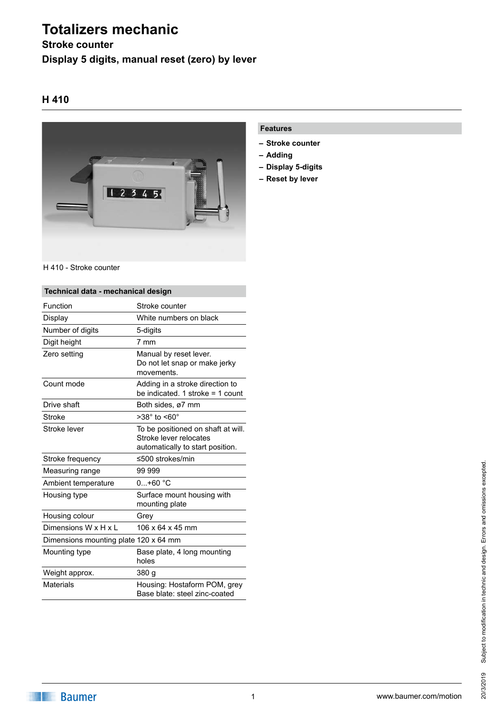# **Totalizers mechanic**

## **Stroke counter Display 5 digits, manual reset (zero) by lever**

### **H 410**



#### H 410 - Stroke counter

| Technical data - mechanical design    |                                                                                                  |
|---------------------------------------|--------------------------------------------------------------------------------------------------|
| Function                              | Stroke counter                                                                                   |
| Display                               | White numbers on black                                                                           |
| Number of digits                      | 5-digits                                                                                         |
| Digit height                          | 7 mm                                                                                             |
| Zero setting                          | Manual by reset lever.<br>Do not let snap or make jerky<br>movements.                            |
| Count mode                            | Adding in a stroke direction to<br>be indicated. 1 stroke $=$ 1 count                            |
| Drive shaft                           | Both sides, ø7 mm                                                                                |
| Stroke                                | $>38^\circ$ to $< 60^\circ$                                                                      |
| Stroke lever                          | To be positioned on shaft at will.<br>Stroke lever relocates<br>automatically to start position. |
| Stroke frequency                      | ≤500 strokes/min                                                                                 |
| Measuring range                       | 99 999                                                                                           |
| Ambient temperature                   | $0+60 °C$                                                                                        |
| Housing type                          | Surface mount housing with<br>mounting plate                                                     |
| Housing colour                        | Grev                                                                                             |
| Dimensions W x H x L                  | 106 x 64 x 45 mm                                                                                 |
| Dimensions mounting plate 120 x 64 mm |                                                                                                  |
| Mounting type                         | Base plate, 4 long mounting<br>holes                                                             |
| Weight approx.                        | 380 g                                                                                            |
| <b>Materials</b>                      | Housing: Hostaform POM, grey<br>Base blate: steel zinc-coated                                    |

#### **Features**

- **– Stroke counter**
- **– Adding**
- **– Display 5-digits**
- **– Reset by lever**